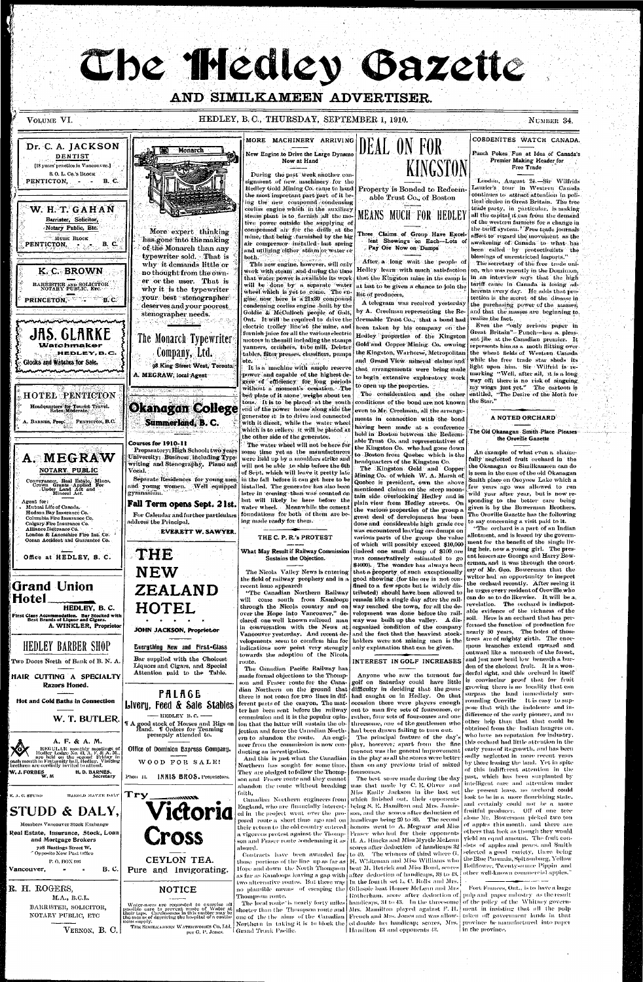# Che Medley Gazette

#### AND SIMILKAMEEN ADVERTISER.

Dr. C. A. JACKSON DENTIST [18 years' practice in Vancouver.] S. O. L. Co.'s BLOCK PENTICTON, - B.C.

**w.** H. T. GAHA N **Barrister, Solicitor, ' Notary Public, Etc.** 

MURK BLOCK

**PENTICTON,** 

**- .- B. C.** 

#### **VOLUME VI. HEDLEY, B. C., THURSDAY, SEPTEMBER 1, 1910. NUMBER 34.** NUMBER 34.

MORE MACHINERY ARRIVING New Engine to Drive the Large Dynamo  $|{\rm DLAL_{\odot}~U1V_{\odot}~\Gamma} \cup {\rm I1V_{\odot}~V1V_{\odot}~V1V_{\odot}~V1V_{\odot}}|$ Monarch Now at Hand During the past week another consignment of new machinery for the Hedley Gold Mining Co. canje to hand  $\mid$  Property is Bonded to Redeemthe most important part part of it being the new compound condensing corliss engine which in the auxiliary MEANS MUCH FOR HEDLEY steam plant is to furnish all the motive power outside the supplying of compressed air for the drills at the More expert thinking mine, that being furnished by the big has gone into the making air compressor installed last spring of the Monarch than any and utilizing either steam or water or typewriter sold. That is  $\cdot$  both. This new engine, however, will only why it demands little or no thought from the own-

work with steam and during the time that water power is available its work will be done by a separate water wheel which is yet to come. The engine now here is a 21x30 compound

some time  $\nu$ et as the manufacturers

KINGSTON

K. C. BROWN

BARRISTER AND SOLICITOR NOTARY PUBLIC, ETC.

COBDENITES WATCH CANADA. Punch Pokes; Fun at Idea of Canada's Premier Making Header for Free Trade

London, August 24.—Sir Wilfrids Lauricr's tour in Western Canada continues to attract attention in political circles in Great Britain. The free trade party, in particular, is making all the capital it can from the demand of the western farmers for a change in the tariff system.' Free trade journals affect to regard the movement as the awakening of Canada to what has been called by protectionists the blessings of unrestricted imports." The secretary of the free trade union, who was recently in the Dominion, in an interview says that the high tariff cause in Canada is losing adherents every day. He adds that protection is the secret of the disease in

A NOTED ORCHARD

the Oroville Gazette





er or the user. That is why it is the typewriter your best stenographer

After, a long wait the people of Hedley learn with much satisfaction that the Kingston mine in the camp is at last to be given a chance to join the list of producers,

A telegram was received yesterday to open up the properties.

able Trust Co., of Boston

Three Claims of Group Have Excellent Showings on Each--Lots of Pay Ore Now on Dumps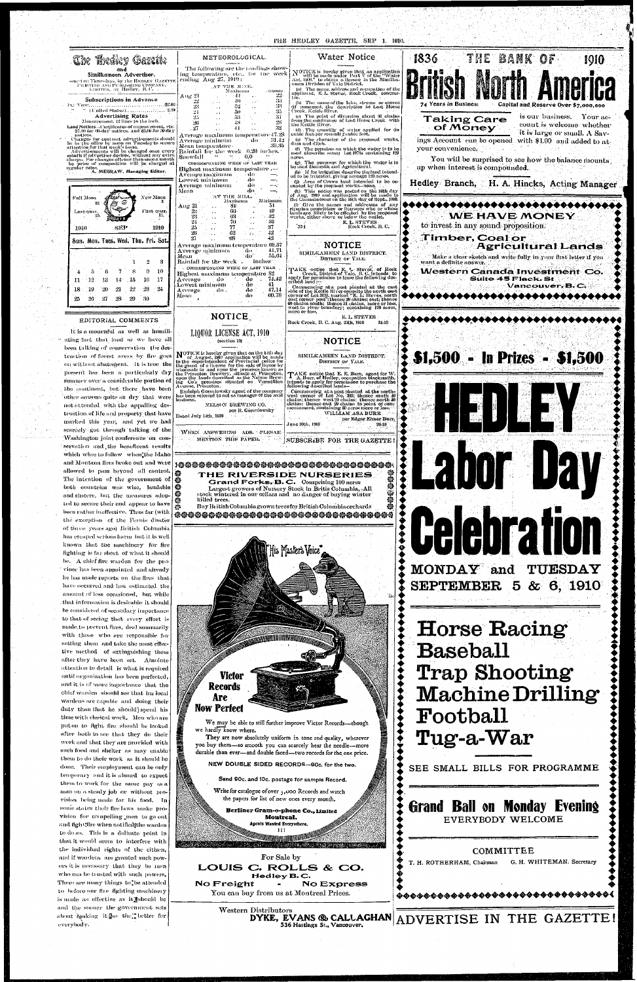

has escaped serious harm but it is well be. A chief five warden for the prohe has made reports on the fires that amount of loss occasioned, but while that information is desirable it should be considered of secondary importance to that of seeing that every effort is made to prevent fires, deal summarily with those who are responsible for setting them and take the most effective method of extinguishing them after they have been set. Absolute attention to detail is what is required until organization has been perfected, and it is of more importance that the chief warden should see that his local wardens are capable and doing their duty than that he should] spend his time with clerical work. Men who are put on to fight fire should be looked. after both to see that they do their work and that they are provided with such food and shelter as may enable them to do their work as it should be done. Their employment can be only temporary and it is absurd to expect them to work for the same pay as a man on a steady job or without provision being made for his food. In some states their fire laws make provision for compelling men to go out and fight;fire when notified[the warden to do so. This is a delicate point in that it would seem to interfere with the individual rights of the citizen, and if wardens are granted such powers it is necessary that they be men who can be trusted with such powers. There are many things to be attended to before our fire fighting machinery is made as effective as it should be and the sooner the government sets about fuaking it so the's better for everybody.

Western Distributors DYKE, EVANS ® CALLAGHAN 536 Hastings St., Vancouver.

You can buy from us at Montreal Prices.

ADVERTISE IN THE GAZETTE!

**@@@@@@@@@@@@@@@@@@@@@@@@@@@@@@@@**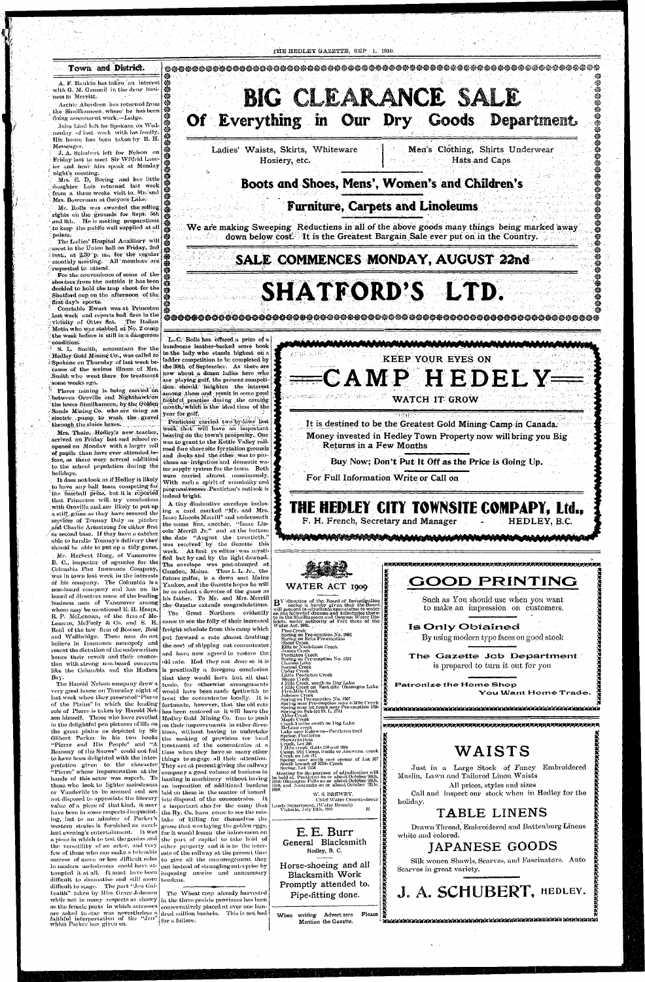#### THE HEDLEY GAZETTE, SEP 1. 1910.

#### Town and District.

A. F. Rankin has taken an interest with G. M. Gemmil in the drug business in Merritt.

**i i** 

John Lind left for Spokane on Wednesday of last week with his family. His house has been taken by H. H. Messenger.

Mr. Rolls was awarded the selling. rights on tho grounds for Sept. 5th and  $6\text{th}$ . He is making preparations to keep the public well supplied at all -points.

The Ladies' Hospital Auxiliary will meet in the Union hall on Friday,  $2nd$  $k$ inst., at  $2.30$  p. m., for the regular monthly meeting. All members are  $r$  requested to attend.

. J. A. Schubert left for Nelson on Friday last to meet Sir Wilfrid Laur ier and hear him speak at Monday night's meeting.

Mrs. E. D, Boeing and her little ^daughter Lois returned last week from a three weeks visit to Mr. and Mrs. Bowerman at Osoyoos Lake.

For the convenience of some of the shooters from the outside it has been decided to hold the trap shoot for the decided to hold the trap shoot for the<br>Shatford cup on the afternoon of the first day's sports.

Constable Ewart was at Princeton last week and reports bad fires in the vicinity of Otter flat. The Italian Motia who was stabbed at No. 2 camp :the week before is still in a dangerous '•condition.

 $\cdot$  S. L. Smith, accountant for the Hedley Gold Mining Co., was called to i'Spokane on Thursday of last week because of the serious illness of Mrs. Smith who went there for treatment some weeks ago.

Placer mining is being carried on between Oroville and Nighthawk'on the lower Similkameen, by the Golden Sands Mining Co. who are using an electric pump to wash the gravel through the sluice boxes.

with Oroville, and are likely to put up a stiff game as they have secured the services of Tommy Daly as pitcher and Charlie Armstrong for either first or second base. If they have a catcher able to handle Tommy's delivery they should be able to put up a tidy game. Mr. Herbert Hogg, of Vancouver B. C., inspector of agencies for the Columbia Fire Insurance Company, was in town last week in the interests of his company. The Columbia is a non-board company and has on its board of directors some of the loading business men of Vancouver among whom may be mentioned E. H. Heaps, E. P. McLennan, of the firm of Mc-Lennan, McFeely & Co. and S. H. Reid of the law firm of Bowser, Reidand Wallbridge. These men do not believe in Insurance monopoly and resent the dictation of the underwriters hence their revolt and their connection with strong non-beard concerns like the Columbia and the Hudson Bay.

The Harold Nelson company drew a very good house on Thursday night of last-week when they presented" Pierre of the Plains" in which the leading role of Pierre is taken by Harold Nelin the delightful pen pictures of life on the great plains as depicted by Sir Gilbert Parker in his two books ••Picric and His People" and "A Romany of the Snows" could not fail to have been delighted with the interpretation given to the character "Pierre" whose impersonation at the hands of this actor was superb. To those who look to lighter melodrama or Vaudeville to be'amused and are not disposed to appreciate the literary value of a piece of that kind, it may have been in some reepects disappointing, but to an admirer of Parker's mg, out to an aumice of Larker's<br>western stories it furnished an excelweatern stories to runnomed an easer a piece in which the test the genius and<br>I piece in which to test the genius and n piece in which to test the genus and<br>the succeedibles of an actor, and very difficult to dramatise and still more  $\vert$  burdens.<br>The part of the part of  $\mathbb{C}^n$ difficult to stage. The part "Jen Galbraith" taken by Miss Grace Johnson while not in many respects as showy which Parker has given us. faithful interpertation of the "Jen" for a failure.

Mrs. Thain, .Hedley's new-teacher, arrived on Friday last and school reopened on Monday with a larger roll of pupils than have ever attended before, as there were several additions to the school population during the holidays.

It does not look as if Hedley is likely to have any ball team competing for the baseball prize, but it is reported that Princeton will, try conclusions

**BIG CLEARANCE SALE** Of Everything in Our Dry Goods Department

L.C. Rolls has offered a prize of a handsome leather-backed score book to the lady who stands highest on  $n$ ladder competition to be completed by the 30th of September. As there are  $\binom{8}{3}$ now about a dozen ladies here who are playing golf, the present competition should- heighten the interest

among them and result in some good faithful practise during the coming month, which is the ideal time of the year for golf.

Penticton carried two by-laws last week that' "will have an important bearing on the town's prosperity. One was to grant to the Kettle Valley railroad fore shore site for station grounds and docks and the other vvas to purchase an irrigation and domestic water supply system for the town. Both were carried almost unanimously. With such a spirit of unanimity and progressiveness-Penticton's outlook is indeed bright:

son himself. Those who have revelled  $\big\}$  Hedley Gold–Mining Co. free to push  $f_{\rm eff}$  of the inter-<br> $f_{\rm eff}$  of the inter-<br> $f_{\rm eff}$  and  $f_{\rm eff}$  and  $f_{\rm eff}$  and  $f_{\rm eff}$  and  $f_{\rm eff}$  and  $f_{\rm eff}$  and  $f_{\rm eff}$  and  $f_{\rm eff}$  and  $f_{\rm eff}$  and  $f_{\rm eff}$  and  $f_{\rm eff}$  and  $f_{\rm eff}$  and  $f_{\rm eff}$  and  $f_{\rm eff$ few of those who can make a tolerable ests of the railway at the present time success of more or less difficult roles to give all the encouragement they in modern melodrama could have at  $\vert$  can instead of strangling enterprise by tempted it at all. It must have been imposing unwise and unnecessary A tiny diminutive envelope inclosing a card marked "Mr. and Mrs. Isaac Lincoln Merrill" and underneath the name line, another, "Isaac Lin-, coln' Merrill Jr." and at the bottom the date "August the twentieth," was received' by the Gazette this week. At first ye editor: was mystified but by and by the light dawned. The envelope was post-stamped at Camden; Maine. Thus I. L. Jr., the future golfer, is a down east Maine Yankee, and the Gazette hopes he will be as ardent a devotee of the game as his father. To Mr. and Mrs. Merrill the- Gazette extends congratulations. The Great . Northern evidently came to see the folly of their increased freight schedule from this camp which progne concumentation and employment put torward a rate amost domining the cost of shipping out concentrates and have now agreed to restore the old rate. Had they not done so it is is practically a foregone conclusion that they would have lost all that trade, for otherwise arrangements would have been made forthwith to treat the concentrates locally. It is fortunate, however, that the old rate has been restored as it will leave the on their improvements in other directions, without having to undertake the making of provision tor local treatment of the concentrates at a time when they have so many other things to engage all their attention. They are at present giving the railway  $\overline{\phantom{a}}$ company a good volume of business in hauling in machinery without having an imposition of additional burdens laid on them in the matter of immed iate disposal of the concentrates. It<br>s important also for the camp that the Ry. Co. have come to see the mistake of killing for themselves the western stories it furnished an excel-  $_{\rm{goose}}$  that was laying the golden eggs, for it would lessen the inducement on the part of capital to take hold of

as the female parts  $\,$  in which actresses  $\,|$  conservatively placed at over one hunare asked to star was nevertheless a dred million bushels. This is not bad The Wheat crop already harvested in the three prairie provinces has been

**•©••**  *m* 

> © • •® *m*  •@. @

**\*** 

**•@** 

*m*  •®-

**•:§>** 

*m* 

Archie Aberdeen' has returned from the Similkameen^ where he has been doing assessment work.—Ledge.

**®.®®®®©.@'^** 

Ladies' Waists, Skirts, Whiteware Hosiery, etc.

Men's Clothing, Shirts Underwear Hats and Caps

### **Boots and Shoes, Mens<sup>9</sup> , Women's and Children's**

#### **Furniture, Carpets and Linoleums**

We are making Sweeping Reductiens in all of the above goods many things being marked away down below cost. It is the Greatest Bargain Sale ever put on in the Country.

**umii m** 

### **SALE COMMENCES MONDAY, AUGUST 22nd**

# **SHATFORD'S LTD.**



It is destined to be the Greatest Gold Mining Camp in Canada. Money invested in Hedley Town Property now will bring you Big Returns in a Few Months

Buy Now; Don't Put-It Off as the Price is Going Up.

For Full Information Write or Call on



**•©•'•** 

*m* 

**•2?** 

**@®®@®@®®\*t@@@@@TO**